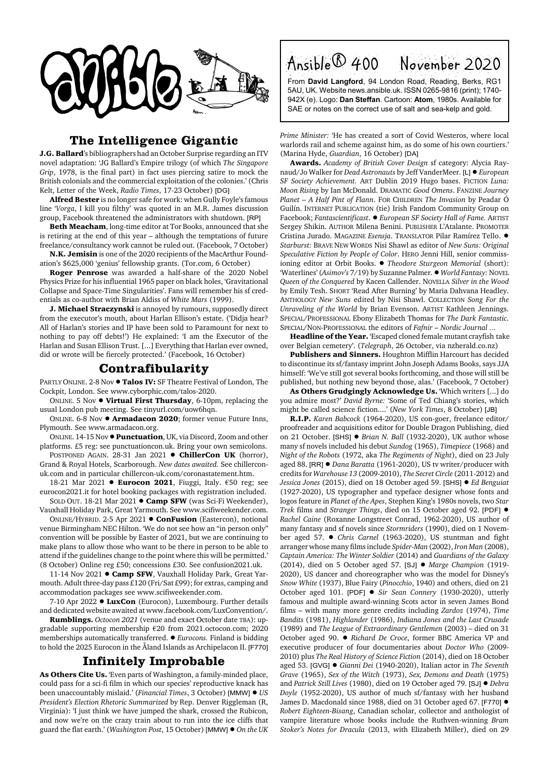

## **The Intelligence Gigantic**

**J.G. Ballard**'s bibliographers had an October Surprise regarding an ITV novel adaptation: 'JG Ballard's Empire trilogy (of which *The Singapore Grip*, 1978, is the final part) in fact uses piercing satire to mock the British colonials and the commercial exploitation of the colonies.' (Chris Kelt, Letter of the Week, *Radio Times*, 17-23 October) [DG]

**Alfred Bester** is no longer safe for work: when Gully Foyle's famous line '*Vorga*, I kill you filthy' was quoted in an M.R. James discussion group, Facebook threatened the administrators with shutdown. [RP]

**Beth Meacham**, long-time editor at Tor Books, announced that she is retiring at the end of this year – although the temptations of future freelance/consultancy work cannot be ruled out. (Facebook, 7 October)

**N.K. Jemisin** is one of the 2020 recipients of the MacArthur Foundation's \$625,000 'genius' fellowship grants. (Tor.com, 6 October)

**Roger Penrose** was awarded a half-share of the 2020 Nobel Physics Prize for his influential 1965 paper on black holes, 'Gravitational Collapse and Space-Time Singularities'. Fans will remember his sf credentials as co-author with Brian Aldiss of *White Mars* (1999).

**J. Michael Straczynski** is annoyed by rumours, supposedly direct from the executor's mouth, about Harlan Ellison's estate. ('Didja hear? All of Harlan's stories and IP have been sold to Paramount for next to nothing to pay off debts!') He explained: 'I am the Executor of the Harlan and Susan Ellison Trust. [...] Everything that Harlan ever owned, did or wrote will be fiercely protected.' (Facebook, 16 October)

## **Contrafibularity**

PARTLY ONLINE. 2-8 Nov ! **Talos IV:** SF Theatre Festival of London, The Cockpit, London. See www.cyborphic.com/talos-2020.

ONLINE. 5 Nov ! **Virtual First Thursday**, 6-10pm, replacing the usual London pub meeting. See tinyurl.com/uow6hqn.

ONLINE. 6-8 Nov ! **Armadacon 2020**; former venue Future Inns, Plymouth. See www.armadacon.org.

ONLINE. 14-15 Nov !**Punctuation**, UK, via Discord, Zoom and other platforms. £5 reg: see punctuationcon.uk. Bring your own semicolons.

POSTPONED AGAIN. 28-31 Jan 2021 . ChillerCon UK (horror), Grand & Royal Hotels, Scarborough. *New dates awaited.* See chillerconuk.com and in particular chillercon-uk.com/coronastatement.htm.

18-21 Mar 2021 **· Eurocon 2021**, Fiuggi, Italy. €50 reg; see eurocon2021.it for hotel booking packages with registration included.

SOLD OUT. 18-21 Mar 2021 . Camp SFW (was Sci-Fi Weekender), Vauxhall Holiday Park, Great Yarmouth. See www.scifiweekender.com. ONLINE/HYBRID. 2-5 Apr 2021 ! **ConFusion** (Eastercon), notional

venue Birmingham NEC Hilton. 'We do not see how an "in person only" convention will be possible by Easter of 2021, but we are continuing to make plans to allow those who want to be there in person to be able to attend if the guidelines change to the point where this will be permitted.' (8 October) Online reg £50; concessions £30. See confusion2021.uk.

11-14 Nov 2021 . Camp SFW, Vauxhall Holiday Park, Great Yarmouth. Adult three-day pass £120 (Fri/Sat £99); for extras, camping and accommodation packages see www.scifiweekender.com.

7-10 Apr 2022 **• LuxCon** (Eurocon), Luxembourg. Further details and dedicated website awaited at www.facebook.com/LuxConvention/.

**Rumblings.** *Octocon 2021* (venue and exact October date TBA): upgradable supporting membership €20 from 2021.octocon.com; 2020 memberships automatically transferred. ! *Eurocons.* Finland is bidding to hold the 2025 Eurocon in the Åland Islands as Archipelacon II. [F770]

## **Infinitely Improbable**

**As Others Cite Us.** 'Even parts of Washington, a family-minded place, could pass for a sci-fi film in which our species' reproductive knack has been unaccountably mislaid.' (*Financial Times*, 3 October) [MMW] ! *US President's Election Rhetoric Summarized* by Rep. Denver Riggleman (R, Virginia): 'I just think we have jumped the shark, crossed the Rubicon, and now we're on the crazy train about to run into the ice cliffs that guard the flat earth.' (*Washington Post*, 15 October) [MMW] ! *On the UK* Ansible® 400 November 2020 From **David Langford**, 94 London Road, Reading, Berks, RG1

5AU, UK. Website news.ansible.uk. ISSN 0265-9816 (print); 1740- 942X (e). Logo: **Dan Steffan**. Cartoon: **Atom**, 1980s. Available for SAE or notes on the correct use of salt and sea-kelp and gold.

*Prime Minister:* 'He has created a sort of Covid Westeros, where local warlords rail and scheme against him, as do some of his own courtiers.' (Marina Hyde, *Guardian*, 16 October) [DA]

**Awards.** *Academy of British Cover Design* sf category: Alycia Raynaud/Jo Walker for *Dead Astronauts* by Jeff VanderMeer. [L] ! *European SF Society Achievement.* ART Dublin 2019 Hugo bases. FICTION *Luna: Moon Rising* by Ian McDonald. DRAMATIC *Good Omens*. FANZINE *Journey Planet – A Half Pint of Flann*. FOR CHILDREN *The Invasion* by Peadar Ó Guilín. INTERNET PUBLICATION (tie) Irish Fandom Community Group on Facebook; *Fantascientificast*. ! *European SF Society Hall of Fame.* ARTIST Sergey Shikin. AUTHOR Milena Benini. PUBLISHER L'Atalante. PROMOTER Cristina Jurado. MAGAZINE *Esensja*. TRANSLATOR Pilar Ramírez Tello. ! *Starburst:* BRAVE NEW WORDS Nisi Shawl as editor of *New Suns: Original Speculative Fiction by People of Color*. HERO Jenni Hill, senior commissioning editor at Orbit Books. ! *Theodore Sturgeon Memorial* (short): 'Waterlines' (*Asimov's* 7/19) by Suzanne Palmer. ! *World Fantasy:* NOVEL *Queen of the Conquered* by Kacen Callender. NOVELLA *Silver in the Wood* by Emily Tesh. SHORT 'Read After Burning' by Maria Dahvana Headley. ANTHOLOGY *New Suns* edited by Nisi Shawl. COLLECTION *Song For the Unraveling of the World* by Brian Evenson. ARTIST Kathleen Jennings. SPECIAL/PROFESSIONAL Ebony Elizabeth Thomas for *The Dark Fantastic*. SPECIAL/NON-PROFESSIONAL the editors of *Fafnir – Nordic Journal ...*

**Headline of the Year.** 'Escaped cloned female mutant crayfish take over Belgian cemetery'. (*Telegraph*, 26 October, via nzherald.co.nz)

**Publishers and Sinners.** Houghton Mifflin Harcourt has decided to discontinue its sf/fantasy imprint John Joseph Adams Books, says JJA himself: 'We've still got several books forthcoming, and those will still be published, but nothing new beyond those, alas.' (Facebook, 7 October)

**As Others Grudgingly Acknowledge Us.** 'Which writers [...] do you admire most?' *David Byrne:* 'Some of Ted Chiang's stories, which might be called science fiction....' (*New York Times*, 8 October) [JB]

**R.I.P.** *Karen Babcock* (1964-2020), US con-goer, freelance editor/ proofreader and acquisitions editor for Double Dragon Publishing, died on 21 October. [SHS] ● *Brian N. Ball* (1932-2020), UK author whose many sf novels included his debut *Sundog* (1965), *Timepiece* (1968) and *Night of the Robots* (1972, aka *The Regiments of Night*), died on 23 July aged 88. [RR]  $\bullet$  *Dana Baratta* (1961-2020), US tv writer/producer with credits for *Warehouse 13* (2009-2010), *The Secret Circle* (2011-2012) and *Jessica Jones* (2015), died on 18 October aged 59. [SHS] ! *Ed Benguiat* (1927-2020), US typographer and typeface designer whose fonts and logos feature in *Planet of the Apes*, Stephen King's 1980s novels, two *Star Trek* films and *Stranger Things*, died on 15 October aged 92. [PDF] ! *Rachel Caine* (Roxanne Longstreet Conrad, 1962-2020), US author of many fantasy and sf novels since *Stormriders* (1990), died on 1 November aged 57. ! *Chris Carnel* (1963-2020), US stuntman and fight arranger whose many films include *Spider-Man* (2002), *Iron Man* (2008), *Captain America: The Winter Soldier* (2014) and *Guardians of the Galaxy* (2014), died on 5 October aged 57. [SJ] ! *Marge Champion* (1919- 2020), US dancer and choreographer who was the model for Disney's *Snow White* (1937), Blue Fairy (*Pinocchio*, 1940) and others, died on 21 October aged 101. [PDF]  $\bullet$  *Sir Sean Connery* (1930-2020), utterly famous and multiple award-winning Scots actor in seven James Bond films – with many more genre credits including *Zardoz* (1974), *Time Bandits* (1981), *Highlander* (1986), *Indiana Jones and the Last Crusade* (1989) and *The League of Extraordinary Gentlemen* (2003) – died on 31 October aged 90. . *Richard De Croce*, former BBC America VP and executive producer of four documentaries about *Doctor Who* (2009- 2010) plus *The Real History of Science Fiction* (2014), died on 18 October aged 53. [GVG] ! *Gianni Dei* (1940-2020), Italian actor in *The Seventh Grave* (1965), *Sex of the Witch* (1973), *Sex, Demons and Death* (1975) and *Patrick Still Lives* (1980), died on 19 October aged 79. [SJ] ! *Debra Doyle* (1952-2020), US author of much sf/fantasy with her husband James D. Macdonald since 1988, died on 31 October aged 67. [F770]  $\bullet$ *Robert Eighteen-Bisang*, Canadian scholar, collector and anthologist of vampire literature whose books include the Ruthven-winning *Bram Stoker's Notes for Dracula* (2013, with Elizabeth Miller), died on 29